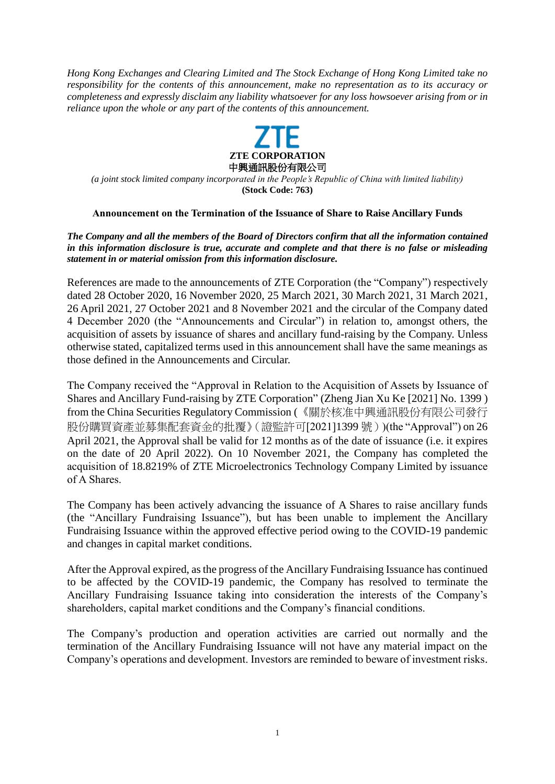*Hong Kong Exchanges and Clearing Limited and The Stock Exchange of Hong Kong Limited take no responsibility for the contents of this announcement, make no representation as to its accuracy or completeness and expressly disclaim any liability whatsoever for any loss howsoever arising from or in reliance upon the whole or any part of the contents of this announcement.*



*(a joint stock limited company incorporated in the People's Republic of China with limited liability)* **(Stock Code: 763)**

## **Announcement on the Termination of the Issuance of Share to Raise Ancillary Funds**

*The Company and all the members of the Board of Directors confirm that all the information contained in this information disclosure is true, accurate and complete and that there is no false or misleading statement in or material omission from this information disclosure.*

References are made to the announcements of ZTE Corporation (the "Company") respectively dated 28 October 2020, 16 November 2020, 25 March 2021, 30 March 2021, 31 March 2021, 26 April 2021, 27 October 2021 and 8 November 2021 and the circular of the Company dated 4 December 2020 (the "Announcements and Circular") in relation to, amongst others, the acquisition of assets by issuance of shares and ancillary fund-raising by the Company. Unless otherwise stated, capitalized terms used in this announcement shall have the same meanings as those defined in the Announcements and Circular.

The Company received the "Approval in Relation to the Acquisition of Assets by Issuance of Shares and Ancillary Fund-raising by ZTE Corporation" (Zheng Jian Xu Ke [2021] No. 1399 ) from the China Securities Regulatory Commission (《關於核准中興通訊股份有限公司發行 股份購買資產並募集配套資金的批覆》(證監許可[2021]1399 號))(the "Approval") on 26 April 2021, the Approval shall be valid for 12 months as of the date of issuance (i.e. it expires on the date of 20 April 2022). On 10 November 2021, the Company has completed the acquisition of 18.8219% of ZTE Microelectronics Technology Company Limited by issuance of A Shares.

The Company has been actively advancing the issuance of A Shares to raise ancillary funds (the "Ancillary Fundraising Issuance"), but has been unable to implement the Ancillary Fundraising Issuance within the approved effective period owing to the COVID-19 pandemic and changes in capital market conditions.

After the Approval expired, as the progress of the Ancillary Fundraising Issuance has continued to be affected by the COVID-19 pandemic, the Company has resolved to terminate the Ancillary Fundraising Issuance taking into consideration the interests of the Company's shareholders, capital market conditions and the Company's financial conditions.

The Company's production and operation activities are carried out normally and the termination of the Ancillary Fundraising Issuance will not have any material impact on the Company's operations and development. Investors are reminded to beware of investment risks.